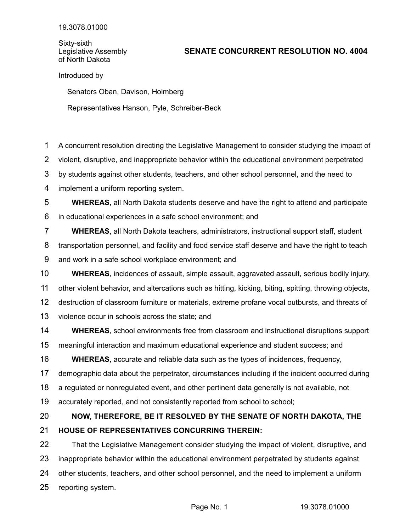Sixty-sixth Legislative Assembly of North Dakota

## **SENATE CONCURRENT RESOLUTION NO. 4004**

Introduced by

Senators Oban, Davison, Holmberg

Representatives Hanson, Pyle, Schreiber-Beck

A concurrent resolution directing the Legislative Management to consider studying the impact of 1

violent, disruptive, and inappropriate behavior within the educational environment perpetrated 2

by students against other students, teachers, and other school personnel, and the need to 3

implement a uniform reporting system. 4

**WHEREAS**, all North Dakota students deserve and have the right to attend and participate in educational experiences in a safe school environment; and 5 6

**WHEREAS**, all North Dakota teachers, administrators, instructional support staff, student 7

transportation personnel, and facility and food service staff deserve and have the right to teach 8

and work in a safe school workplace environment; and 9

**WHEREAS**, incidences of assault, simple assault, aggravated assault, serious bodily injury, other violent behavior, and altercations such as hitting, kicking, biting, spitting, throwing objects, destruction of classroom furniture or materials, extreme profane vocal outbursts, and threats of violence occur in schools across the state; and 10 11 12 13

**WHEREAS**, school environments free from classroom and instructional disruptions support 14

meaningful interaction and maximum educational experience and student success; and 15

**WHEREAS**, accurate and reliable data such as the types of incidences, frequency, 16

demographic data about the perpetrator, circumstances including if the incident occurred during 17

a regulated or nonregulated event, and other pertinent data generally is not available, not 18

accurately reported, and not consistently reported from school to school; 19

## **NOW, THEREFORE, BE IT RESOLVED BY THE SENATE OF NORTH DAKOTA, THE HOUSE OF REPRESENTATIVES CONCURRING THEREIN:** 20 21

That the Legislative Management consider studying the impact of violent, disruptive, and inappropriate behavior within the educational environment perpetrated by students against other students, teachers, and other school personnel, and the need to implement a uniform reporting system. 22 23 24 25